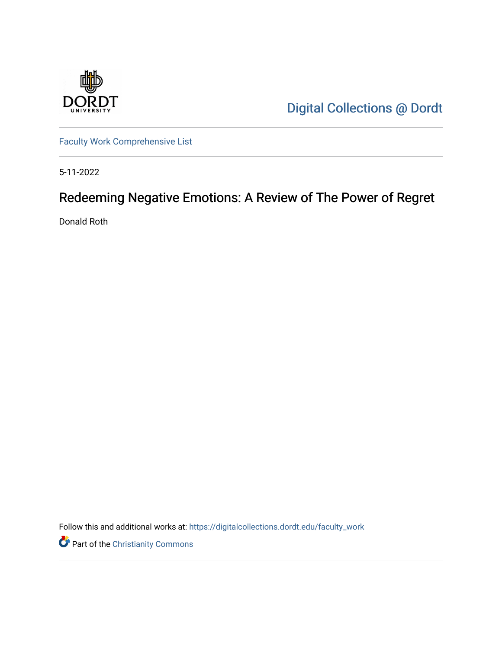

[Digital Collections @ Dordt](https://digitalcollections.dordt.edu/) 

[Faculty Work Comprehensive List](https://digitalcollections.dordt.edu/faculty_work)

5-11-2022

# Redeeming Negative Emotions: A Review of The Power of Regret

Donald Roth

Follow this and additional works at: [https://digitalcollections.dordt.edu/faculty\\_work](https://digitalcollections.dordt.edu/faculty_work?utm_source=digitalcollections.dordt.edu%2Ffaculty_work%2F1388&utm_medium=PDF&utm_campaign=PDFCoverPages) 

Part of the [Christianity Commons](https://network.bepress.com/hgg/discipline/1181?utm_source=digitalcollections.dordt.edu%2Ffaculty_work%2F1388&utm_medium=PDF&utm_campaign=PDFCoverPages)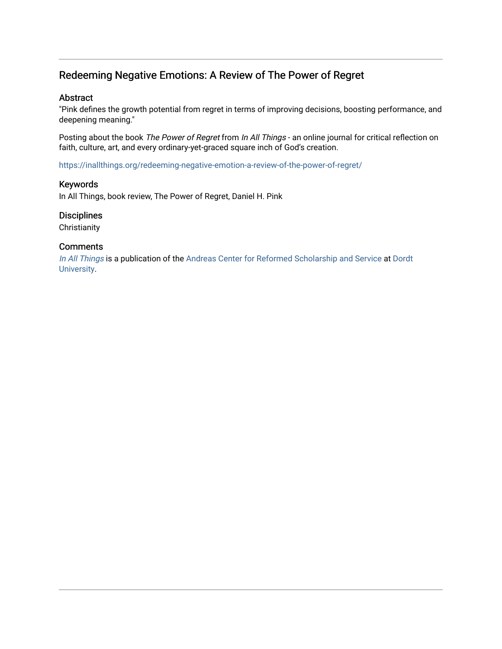## Redeeming Negative Emotions: A Review of The Power of Regret

### Abstract

"Pink defines the growth potential from regret in terms of improving decisions, boosting performance, and deepening meaning."

Posting about the book The Power of Regret from In All Things - an online journal for critical reflection on faith, culture, art, and every ordinary-yet-graced square inch of God's creation.

<https://inallthings.org/redeeming-negative-emotion-a-review-of-the-power-of-regret/>

### Keywords

In All Things, book review, The Power of Regret, Daniel H. Pink

### **Disciplines**

**Christianity** 

#### **Comments**

[In All Things](http://inallthings.org/) is a publication of the [Andreas Center for Reformed Scholarship and Service](http://www.dordt.edu/services_support/andreas_center/) at Dordt [University](http://www.dordt.edu/).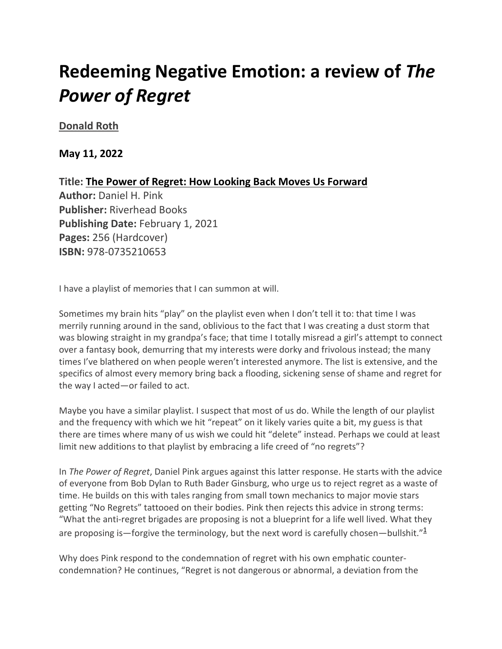# **Redeeming Negative Emotion: a review of** *The Power of Regret*

**[Donald Roth](https://inallthings.org/author/donald-roth/)**

**May 11, 2022**

**Title: The Power of Regret: How Looking Back Moves Us Forward Author:** Daniel H. Pink **Publisher:** Riverhead Books **Publishing Date:** February 1, 2021 **Pages:** 256 (Hardcover) **ISBN:** 978-0735210653

I have a playlist of memories that I can summon at will.

Sometimes my brain hits "play" on the playlist even when I don't tell it to: that time I was merrily running around in the sand, oblivious to the fact that I was creating a dust storm that was blowing straight in my grandpa's face; that time I totally misread a girl's attempt to connect over a fantasy book, demurring that my interests were dorky and frivolous instead; the many times I've blathered on when people weren't interested anymore. The list is extensive, and the specifics of almost every memory bring back a flooding, sickening sense of shame and regret for the way I acted—or failed to act.

Maybe you have a similar playlist. I suspect that most of us do. While the length of our playlist and the frequency with which we hit "repeat" on it likely varies quite a bit, my guess is that there are times where many of us wish we could hit "delete" instead. Perhaps we could at least limit new additions to that playlist by embracing a life creed of "no regrets"?

In *The Power of Regret*, Daniel Pink argues against this latter response. He starts with the advice of everyone from Bob Dylan to Ruth Bader Ginsburg, who urge us to reject regret as a waste of time. He builds on this with tales ranging from small town mechanics to major movie stars getting "No Regrets" tattooed on their bodies. Pink then rejects this advice in strong terms: "What the anti-regret brigades are proposing is not a blueprint for a life well lived. What they are proposing is—forgive the terminology, but the next word is carefully chosen—bullshit." $\frac{1}{2}$ 

Why does Pink respond to the condemnation of regret with his own emphatic countercondemnation? He continues, "Regret is not dangerous or abnormal, a deviation from the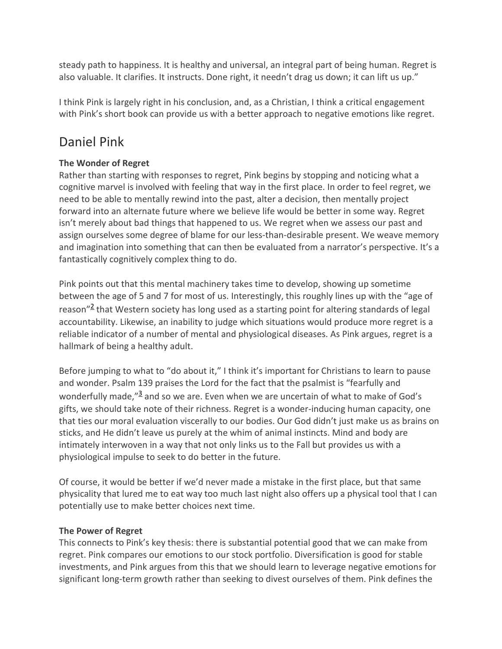steady path to happiness. It is healthy and universal, an integral part of being human. Regret is also valuable. It clarifies. It instructs. Done right, it needn't drag us down; it can lift us up."

I think Pink is largely right in his conclusion, and, as a Christian, I think a critical engagement with Pink's short book can provide us with a better approach to negative emotions like regret.

## Daniel Pink

## **The Wonder of Regret**

Rather than starting with responses to regret, Pink begins by stopping and noticing what a cognitive marvel is involved with feeling that way in the first place. In order to feel regret, we need to be able to mentally rewind into the past, alter a decision, then mentally project forward into an alternate future where we believe life would be better in some way. Regret isn't merely about bad things that happened to us. We regret when we assess our past and assign ourselves some degree of blame for our less-than-desirable present. We weave memory and imagination into something that can then be evaluated from a narrator's perspective. It's a fantastically cognitively complex thing to do.

Pink points out that this mental machinery takes time to develop, showing up sometime between the age of 5 and 7 for most of us. Interestingly, this roughly lines up with the "age of reason"<sup>2</sup> that Western society has long used as a starting point for altering standards of legal accountability. Likewise, an inability to judge which situations would produce more regret is a reliable indicator of a number of mental and physiological diseases. As Pink argues, regret is a hallmark of being a healthy adult.

Before jumping to what to "do about it," I think it's important for Christians to learn to pause and wonder. Psalm 139 praises the Lord for the fact that the psalmist is "fearfully and wonderfully made."<sup>3</sup> and so we are. Even when we are uncertain of what to make of God's gifts, we should take note of their richness. Regret is a wonder-inducing human capacity, one that ties our moral evaluation viscerally to our bodies. Our God didn't just make us as brains on sticks, and He didn't leave us purely at the whim of animal instincts. Mind and body are intimately interwoven in a way that not only links us to the Fall but provides us with a physiological impulse to seek to do better in the future.

Of course, it would be better if we'd never made a mistake in the first place, but that same physicality that lured me to eat way too much last night also offers up a physical tool that I can potentially use to make better choices next time.

## **The Power of Regret**

This connects to Pink's key thesis: there is substantial potential good that we can make from regret. Pink compares our emotions to our stock portfolio. Diversification is good for stable investments, and Pink argues from this that we should learn to leverage negative emotions for significant long-term growth rather than seeking to divest ourselves of them. Pink defines the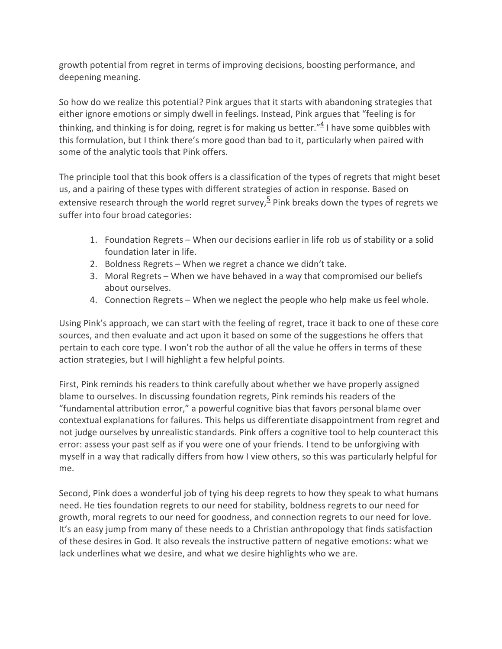growth potential from regret in terms of improving decisions, boosting performance, and deepening meaning.

So how do we realize this potential? Pink argues that it starts with abandoning strategies that either ignore emotions or simply dwell in feelings. Instead, Pink argues that "feeling is for thinking, and thinking is for doing, regret is for making us better." $4$  I have some quibbles with this formulation, but I think there's more good than bad to it, particularly when paired with some of the analytic tools that Pink offers.

The principle tool that this book offers is a classification of the types of regrets that might beset us, and a pairing of these types with different strategies of action in response. Based on extensive research through the world regret survey,  $5$  Pink breaks down the types of regrets we suffer into four broad categories:

- 1. Foundation Regrets When our decisions earlier in life rob us of stability or a solid foundation later in life.
- 2. Boldness Regrets When we regret a chance we didn't take.
- 3. Moral Regrets When we have behaved in a way that compromised our beliefs about ourselves.
- 4. Connection Regrets When we neglect the people who help make us feel whole.

Using Pink's approach, we can start with the feeling of regret, trace it back to one of these core sources, and then evaluate and act upon it based on some of the suggestions he offers that pertain to each core type. I won't rob the author of all the value he offers in terms of these action strategies, but I will highlight a few helpful points.

First, Pink reminds his readers to think carefully about whether we have properly assigned blame to ourselves. In discussing foundation regrets, Pink reminds his readers of the "fundamental attribution error," a powerful cognitive bias that favors personal blame over contextual explanations for failures. This helps us differentiate disappointment from regret and not judge ourselves by unrealistic standards. Pink offers a cognitive tool to help counteract this error: assess your past self as if you were one of your friends. I tend to be unforgiving with myself in a way that radically differs from how I view others, so this was particularly helpful for me.

Second, Pink does a wonderful job of tying his deep regrets to how they speak to what humans need. He ties foundation regrets to our need for stability, boldness regrets to our need for growth, moral regrets to our need for goodness, and connection regrets to our need for love. It's an easy jump from many of these needs to a Christian anthropology that finds satisfaction of these desires in God. It also reveals the instructive pattern of negative emotions: what we lack underlines what we desire, and what we desire highlights who we are.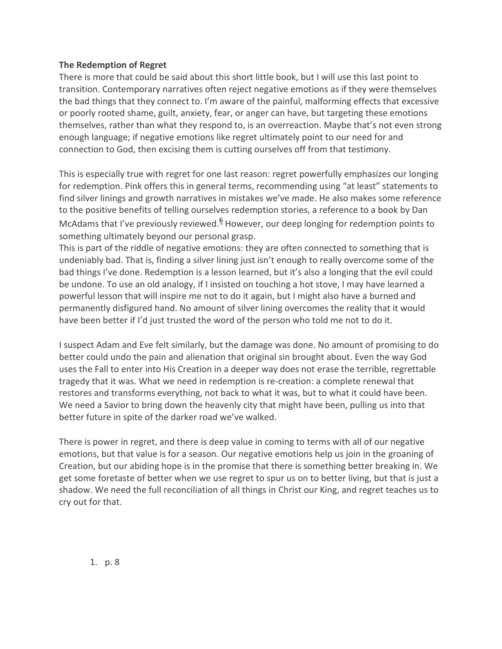## **The Redemption of Regret**

There is more that could be said about this short little book, but I will use this last point to transition. Contemporary narratives often reject negative emotions as if they were themselves the bad things that they connect to. I'm aware of the painful, malforming effects that excessive or poorly rooted shame, guilt, anxiety, fear, or anger can have, but targeting these emotions themselves, rather than what they respond to, is an overreaction. Maybe that's not even strong enough language; if negative emotions like regret ultimately point to our need for and connection to God, then excising them is cutting ourselves off from that testimony.

This is especially true with regret for one last reason: regret powerfully emphasizes our longing for redemption. Pink offers this in general terms, recommending using "at least" statements to find silver linings and growth narratives in mistakes we've made. He also makes some reference to the positive benefits of telling ourselves redemption stories, a reference to a book by Dan McAdams that I've previously reviewed.<sup>6</sup> However, our deep longing for redemption points to something ultimately beyond our personal grasp.

This is part of the riddle of negative emotions: they are often connected to something that is undeniably bad. That is, finding a silver lining just isn't enough to really overcome some of the bad things I've done. Redemption is a lesson learned, but it's also a longing that the evil could be undone. To use an old analogy, if I insisted on touching a hot stove, I may have learned a powerful lesson that will inspire me not to do it again, but I might also have a burned and permanently disfigured hand. No amount of silver lining overcomes the reality that it would have been better if I'd just trusted the word of the person who told me not to do it.

I suspect Adam and Eve felt similarly, but the damage was done. No amount of promising to do better could undo the pain and alienation that original sin brought about. Even the way God uses the Fall to enter into His Creation in a deeper way does not erase the terrible, regrettable tragedy that it was. What we need in redemption is re-creation: a complete renewal that restores and transforms everything, not back to what it was, but to what it could have been. We need a Savior to bring down the heavenly city that might have been, pulling us into that better future in spite of the darker road we've walked.

There is power in regret, and there is deep value in coming to terms with all of our negative emotions, but that value is for a season. Our negative emotions help us join in the groaning of Creation, but our abiding hope is in the promise that there is something better breaking in. We get some foretaste of better when we use regret to spur us on to better living, but that is just a shadow. We need the full reconciliation of all things in Christ our King, and regret teaches us to cry out for that.